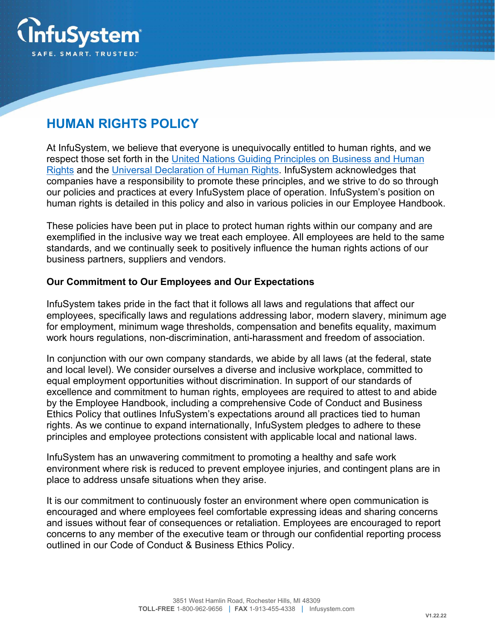

# **HUMAN RIGHTS POLICY**

At InfuSystem, we believe that everyone is unequivocally entitled to human rights, and we respect those set forth in the United Nations Guiding Principles on Business and Human Rights and the Universal Declaration of Human Rights. InfuSystem acknowledges that companies have a responsibility to promote these principles, and we strive to do so through our policies and practices at every InfuSystem place of operation. InfuSystem's position on human rights is detailed in this policy and also in various policies in our Employee Handbook.

These policies have been put in place to protect human rights within our company and are exemplified in the inclusive way we treat each employee. All employees are held to the same standards, and we continually seek to positively influence the human rights actions of our business partners, suppliers and vendors.

#### **Our Commitment to Our Employees and Our Expectations**

InfuSystem takes pride in the fact that it follows all laws and regulations that affect our employees, specifically laws and regulations addressing labor, modern slavery, minimum age for employment, minimum wage thresholds, compensation and benefits equality, maximum work hours regulations, non-discrimination, anti-harassment and freedom of association.

In conjunction with our own company standards, we abide by all laws (at the federal, state and local level). We consider ourselves a diverse and inclusive workplace, committed to equal employment opportunities without discrimination. In support of our standards of excellence and commitment to human rights, employees are required to attest to and abide by the Employee Handbook, including a comprehensive Code of Conduct and Business Ethics Policy that outlines InfuSystem's expectations around all practices tied to human rights. As we continue to expand internationally, InfuSystem pledges to adhere to these principles and employee protections consistent with applicable local and national laws.

InfuSystem has an unwavering commitment to promoting a healthy and safe work environment where risk is reduced to prevent employee injuries, and contingent plans are in place to address unsafe situations when they arise.

It is our commitment to continuously foster an environment where open communication is encouraged and where employees feel comfortable expressing ideas and sharing concerns and issues without fear of consequences or retaliation. Employees are encouraged to report concerns to any member of the executive team or through our confidential reporting process outlined in our Code of Conduct & Business Ethics Policy.